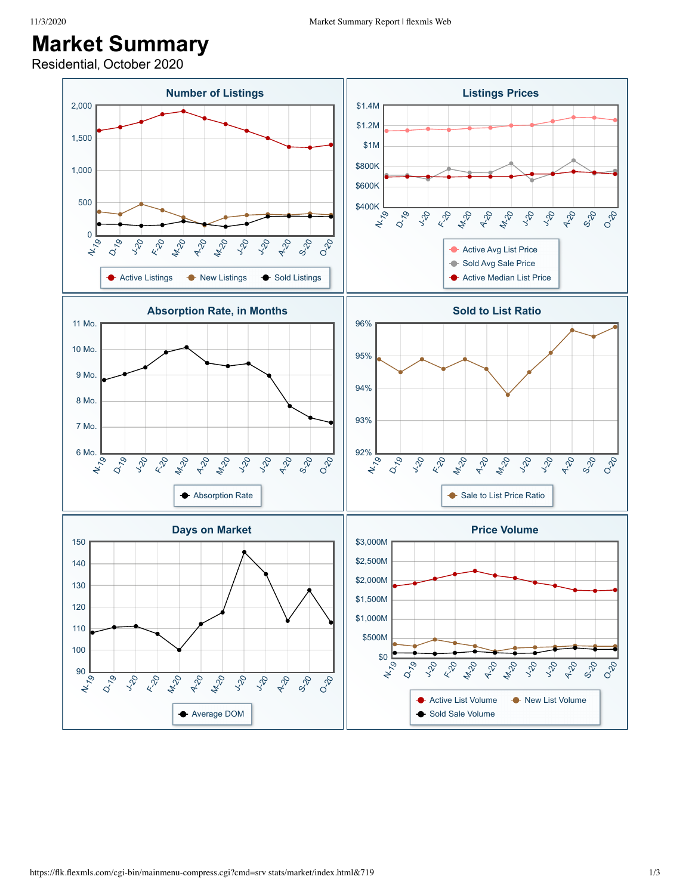## **Market Summary**

Residential, October 2020

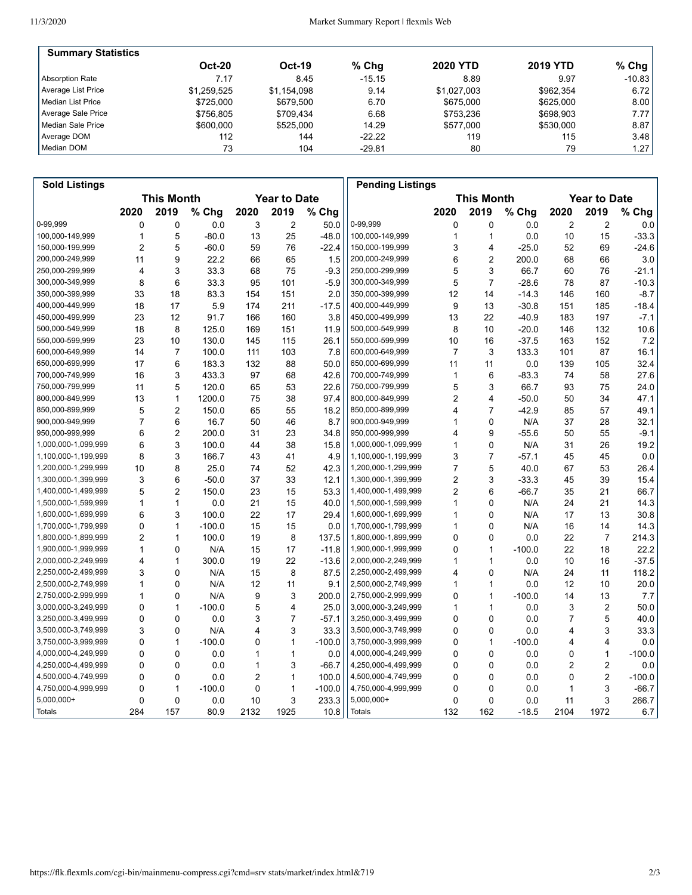| <b>Summary Statistics</b> |               |             |          |                 |                 |           |
|---------------------------|---------------|-------------|----------|-----------------|-----------------|-----------|
|                           | <b>Oct-20</b> | Oct-19      | $%$ Chg  | <b>2020 YTD</b> | <b>2019 YTD</b> | % Chg $ $ |
| Absorption Rate           | 7.17          | 8.45        | $-15.15$ | 8.89            | 9.97            | $-10.83$  |
| Average List Price        | \$1.259.525   | \$1.154.098 | 9.14     | \$1.027.003     | \$962.354       | 6.72      |
| Median List Price         | \$725,000     | \$679.500   | 6.70     | \$675,000       | \$625,000       | 8.00      |
| Average Sale Price        | \$756.805     | \$709.434   | 6.68     | \$753.236       | \$698,903       | 7.77      |
| Median Sale Price         | \$600,000     | \$525,000   | 14.29    | \$577.000       | \$530,000       | 8.87      |
| Average DOM               | 112           | 144         | $-22.22$ | 119             | 115             | 3.48      |
| Median DOM                | 73            | 104         | $-29.81$ | 80              | 79              | 1.27      |

| <b>Sold Listings</b> |                |                   |          |                |                     |          | <b>Pending Listings</b> |                |                   |          |      |                     |          |
|----------------------|----------------|-------------------|----------|----------------|---------------------|----------|-------------------------|----------------|-------------------|----------|------|---------------------|----------|
|                      |                | <b>This Month</b> |          |                | <b>Year to Date</b> |          |                         |                | <b>This Month</b> |          |      | <b>Year to Date</b> |          |
|                      | 2020           | 2019              | % Chg    | 2020           | 2019                | % Chg    |                         | 2020           | 2019              | % Chg    | 2020 | 2019                | % Chg    |
| 0-99,999             | 0              | 0                 | 0.0      | 3              | $\overline{2}$      | 50.0     | 0-99,999                | 0              | 0                 | 0.0      | 2    | 2                   | 0.0      |
| 100,000-149,999      | $\mathbf{1}$   | 5                 | $-80.0$  | 13             | 25                  | $-48.0$  | 100,000-149,999         | 1              | $\mathbf{1}$      | 0.0      | 10   | 15                  | $-33.3$  |
| 150,000-199,999      | $\overline{2}$ | 5                 | $-60.0$  | 59             | 76                  | $-22.4$  | 150,000-199,999         | 3              | 4                 | $-25.0$  | 52   | 69                  | $-24.6$  |
| 200,000-249,999      | 11             | 9                 | 22.2     | 66             | 65                  | 1.5      | 200,000-249,999         | 6              | $\overline{2}$    | 200.0    | 68   | 66                  | 3.0      |
| 250,000-299,999      | $\overline{4}$ | 3                 | 33.3     | 68             | 75                  | $-9.3$   | 250,000-299,999         | 5              | 3                 | 66.7     | 60   | 76                  | $-21.1$  |
| 300,000-349,999      | 8              | 6                 | 33.3     | 95             | 101                 | $-5.9$   | 300,000-349,999         | 5              | $\overline{7}$    | $-28.6$  | 78   | 87                  | $-10.3$  |
| 350,000-399,999      | 33             | 18                | 83.3     | 154            | 151                 | 2.0      | 350,000-399,999         | 12             | 14                | $-14.3$  | 146  | 160                 | $-8.7$   |
| 400,000-449,999      | 18             | 17                | 5.9      | 174            | 211                 | $-17.5$  | 400,000-449,999         | 9              | 13                | $-30.8$  | 151  | 185                 | $-18.4$  |
| 450,000-499,999      | 23             | 12                | 91.7     | 166            | 160                 | 3.8      | 450,000-499,999         | 13             | 22                | $-40.9$  | 183  | 197                 | $-7.1$   |
| 500,000-549,999      | 18             | 8                 | 125.0    | 169            | 151                 | 11.9     | 500,000-549,999         | 8              | 10                | $-20.0$  | 146  | 132                 | 10.6     |
| 550,000-599,999      | 23             | 10                | 130.0    | 145            | 115                 | 26.1     | 550,000-599,999         | 10             | 16                | $-37.5$  | 163  | 152                 | 7.2      |
| 600,000-649,999      | 14             | 7                 | 100.0    | 111            | 103                 | 7.8      | 600,000-649,999         | $\overline{7}$ | 3                 | 133.3    | 101  | 87                  | 16.1     |
| 650,000-699,999      | 17             | 6                 | 183.3    | 132            | 88                  | 50.0     | 650,000-699,999         | 11             | 11                | 0.0      | 139  | 105                 | 32.4     |
| 700,000-749,999      | 16             | 3                 | 433.3    | 97             | 68                  | 42.6     | 700,000-749,999         | 1              | 6                 | $-83.3$  | 74   | 58                  | 27.6     |
| 750,000-799,999      | 11             | 5                 | 120.0    | 65             | 53                  | 22.6     | 750,000-799,999         | 5              | 3                 | 66.7     | 93   | 75                  | 24.0     |
| 800,000-849,999      | 13             | $\mathbf{1}$      | 1200.0   | 75             | 38                  | 97.4     | 800,000-849,999         | 2              | 4                 | $-50.0$  | 50   | 34                  | 47.1     |
| 850,000-899,999      | 5              | $\overline{2}$    | 150.0    | 65             | 55                  | 18.2     | 850,000-899,999         | 4              | $\overline{7}$    | $-42.9$  | 85   | 57                  | 49.1     |
| 900,000-949,999      | 7              | 6                 | 16.7     | 50             | 46                  | 8.7      | 900,000-949,999         | 1              | 0                 | N/A      | 37   | 28                  | 32.1     |
| 950,000-999,999      | 6              | $\overline{2}$    | 200.0    | 31             | 23                  | 34.8     | 950,000-999,999         | 4              | 9                 | $-55.6$  | 50   | 55                  | $-9.1$   |
| 1,000,000-1,099,999  | 6              | 3                 | 100.0    | 44             | 38                  | 15.8     | 1,000,000-1,099,999     | 1              | $\mathbf 0$       | N/A      | 31   | 26                  | 19.2     |
| 1,100,000-1,199,999  | 8              | 3                 | 166.7    | 43             | 41                  | 4.9      | 1,100,000-1,199,999     | 3              | $\overline{7}$    | $-57.1$  | 45   | 45                  | 0.0      |
| 1,200,000-1,299,999  | 10             | 8                 | 25.0     | 74             | 52                  | 42.3     | 1,200,000-1,299,999     | $\overline{7}$ | 5                 | 40.0     | 67   | 53                  | 26.4     |
| 1,300,000-1,399,999  | 3              | 6                 | $-50.0$  | 37             | 33                  | 12.1     | 1,300,000-1,399,999     | 2              | 3                 | $-33.3$  | 45   | 39                  | 15.4     |
| 1,400,000-1,499,999  | 5              | $\overline{2}$    | 150.0    | 23             | 15                  | 53.3     | 1,400,000-1,499,999     | $\overline{2}$ | 6                 | $-66.7$  | 35   | 21                  | 66.7     |
| 1,500,000-1,599,999  | $\mathbf{1}$   | $\mathbf{1}$      | 0.0      | 21             | 15                  | 40.0     | 1,500,000-1,599,999     | $\mathbf{1}$   | $\mathbf 0$       | N/A      | 24   | 21                  | 14.3     |
| 1,600,000-1,699,999  | 6              | 3                 | 100.0    | 22             | 17                  | 29.4     | 1,600,000-1,699,999     | 1              | $\Omega$          | N/A      | 17   | 13                  | 30.8     |
| 1,700,000-1,799,999  | 0              | $\mathbf{1}$      | $-100.0$ | 15             | 15                  | 0.0      | 1,700,000-1,799,999     | 1              | 0                 | N/A      | 16   | 14                  | 14.3     |
| 1,800,000-1,899,999  | $\overline{2}$ | $\mathbf{1}$      | 100.0    | 19             | 8                   | 137.5    | 1,800,000-1,899,999     | 0              | $\mathbf 0$       | 0.0      | 22   | $\overline{7}$      | 214.3    |
| 1,900,000-1,999,999  | 1              | 0                 | N/A      | 15             | 17                  | $-11.8$  | 1,900,000-1,999,999     | 0              | $\mathbf{1}$      | $-100.0$ | 22   | 18                  | 22.2     |
| 2,000,000-2,249,999  | 4              | $\mathbf{1}$      | 300.0    | 19             | 22                  | $-13.6$  | 2,000,000-2,249,999     | 1              | $\mathbf{1}$      | 0.0      | 10   | 16                  | $-37.5$  |
| 2,250,000-2,499,999  | 3              | $\Omega$          | N/A      | 15             | 8                   | 87.5     | 2,250,000-2,499,999     | 4              | $\Omega$          | N/A      | 24   | 11                  | 118.2    |
| 2,500,000-2,749,999  | 1              | $\Omega$          | N/A      | 12             | 11                  | 9.1      | 2,500,000-2,749,999     | 1              | $\mathbf{1}$      | 0.0      | 12   | 10                  | 20.0     |
| 2,750,000-2,999,999  | 1              | $\mathbf 0$       | N/A      | 9              | 3                   | 200.0    | 2,750,000-2,999,999     | 0              | $\mathbf{1}$      | $-100.0$ | 14   | 13                  | 7.7      |
| 3,000,000-3,249,999  | $\mathbf 0$    | $\mathbf{1}$      | $-100.0$ | 5              | 4                   | 25.0     | 3,000,000-3,249,999     | 1              | $\mathbf{1}$      | 0.0      | 3    | $\overline{2}$      | 50.0     |
| 3,250,000-3,499,999  | $\mathbf 0$    | $\mathbf 0$       | 0.0      | 3              | $\overline{7}$      | $-57.1$  | 3,250,000-3,499,999     | 0              | $\mathbf 0$       | 0.0      | 7    | 5                   | 40.0     |
| 3,500,000-3,749,999  | 3              | 0                 | N/A      | 4              | 3                   | 33.3     | 3,500,000-3,749,999     | 0              | 0                 | 0.0      | 4    | 3                   | 33.3     |
| 3,750,000-3,999,999  | $\mathbf 0$    | $\mathbf{1}$      | $-100.0$ | 0              | $\mathbf{1}$        | $-100.0$ | 3,750,000-3,999,999     | 0              | $\mathbf{1}$      | $-100.0$ | 4    | 4                   | 0.0      |
| 4,000,000-4,249,999  | $\mathbf 0$    | $\mathbf 0$       | 0.0      | 1              | 1                   | 0.0      | 4,000,000-4,249,999     | 0              | $\mathbf 0$       | 0.0      | 0    | $\mathbf{1}$        | $-100.0$ |
| 4,250,000-4,499,999  | $\mathbf 0$    | $\mathbf 0$       | 0.0      | 1              | 3                   | $-66.7$  | 4,250,000-4,499,999     | 0              | $\mathbf 0$       | 0.0      | 2    | 2                   | 0.0      |
| 4,500,000-4,749,999  | $\mathbf 0$    | $\mathbf 0$       | 0.0      | $\overline{2}$ | 1                   | 100.0    | 4,500,000-4,749,999     | 0              | $\mathbf 0$       | 0.0      | 0    | $\overline{c}$      | $-100.0$ |
| 4,750,000-4,999,999  | 0              | $\mathbf{1}$      | $-100.0$ | 0              | 1                   | $-100.0$ | 4,750,000-4,999,999     | 0              | 0                 | 0.0      | 1    | 3                   | $-66.7$  |
| $5,000,000+$         | 0              | $\mathbf 0$       | 0.0      | 10             | 3                   | 233.3    | 5,000,000+              | 0              | $\mathbf 0$       | 0.0      | 11   | 3                   | 266.7    |
| Totals               | 284            | 157               | 80.9     | 2132           | 1925                | 10.8     | <b>Totals</b>           | 132            | 162               | $-18.5$  | 2104 | 1972                | 6.7      |